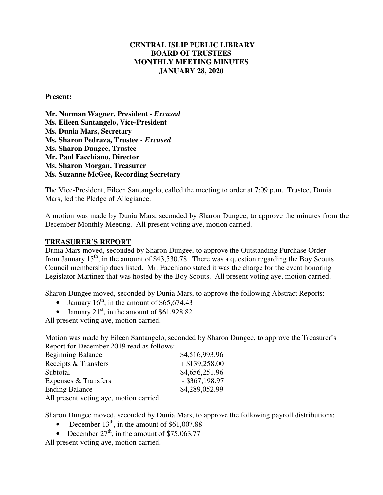## **CENTRAL ISLIP PUBLIC LIBRARY BOARD OF TRUSTEES MONTHLY MEETING MINUTES JANUARY 28, 2020**

#### **Present:**

**Mr. Norman Wagner, President** *- Excused*  **Ms. Eileen Santangelo, Vice-President Ms. Dunia Mars, Secretary Ms. Sharon Pedraza, Trustee** *- Excused* **Ms. Sharon Dungee, Trustee Mr. Paul Facchiano, Director Ms. Sharon Morgan, Treasurer Ms. Suzanne McGee, Recording Secretary** 

The Vice-President, Eileen Santangelo, called the meeting to order at 7:09 p.m. Trustee, Dunia Mars, led the Pledge of Allegiance.

A motion was made by Dunia Mars, seconded by Sharon Dungee, to approve the minutes from the December Monthly Meeting. All present voting aye, motion carried.

#### **TREASURER'S REPORT**

Dunia Mars moved, seconded by Sharon Dungee, to approve the Outstanding Purchase Order from January  $15<sup>th</sup>$ , in the amount of \$43,530.78. There was a question regarding the Boy Scouts Council membership dues listed. Mr. Facchiano stated it was the charge for the event honoring Legislator Martinez that was hosted by the Boy Scouts. All present voting aye, motion carried.

Sharon Dungee moved, seconded by Dunia Mars, to approve the following Abstract Reports:

- January  $16<sup>th</sup>$ , in the amount of \$65,674.43
- January  $21<sup>st</sup>$ , in the amount of \$61,928.82

All present voting aye, motion carried.

Motion was made by Eileen Santangelo, seconded by Sharon Dungee, to approve the Treasurer's Report for December 2019 read as follows:

| <b>Beginning Balance</b>                | \$4,516,993.96   |
|-----------------------------------------|------------------|
| Receipts & Transfers                    | $+$ \$139,258.00 |
| Subtotal                                | \$4,656,251.96   |
| Expenses & Transfers                    | $-$ \$367,198.97 |
| <b>Ending Balance</b>                   | \$4,289,052.99   |
| All present voting aye, motion carried. |                  |

Sharon Dungee moved, seconded by Dunia Mars, to approve the following payroll distributions:

- December  $13<sup>th</sup>$ , in the amount of \$61,007.88
- December  $27<sup>th</sup>$ , in the amount of \$75,063.77

All present voting aye, motion carried.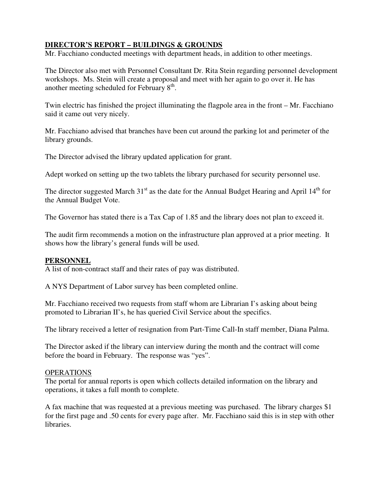## **DIRECTOR'S REPORT – BUILDINGS & GROUNDS**

Mr. Facchiano conducted meetings with department heads, in addition to other meetings.

The Director also met with Personnel Consultant Dr. Rita Stein regarding personnel development workshops. Ms. Stein will create a proposal and meet with her again to go over it. He has another meeting scheduled for February  $8<sup>th</sup>$ .

Twin electric has finished the project illuminating the flagpole area in the front – Mr. Facchiano said it came out very nicely.

Mr. Facchiano advised that branches have been cut around the parking lot and perimeter of the library grounds.

The Director advised the library updated application for grant.

Adept worked on setting up the two tablets the library purchased for security personnel use.

The director suggested March  $31<sup>st</sup>$  as the date for the Annual Budget Hearing and April  $14<sup>th</sup>$  for the Annual Budget Vote.

The Governor has stated there is a Tax Cap of 1.85 and the library does not plan to exceed it.

The audit firm recommends a motion on the infrastructure plan approved at a prior meeting. It shows how the library's general funds will be used.

### **PERSONNEL**

A list of non-contract staff and their rates of pay was distributed.

A NYS Department of Labor survey has been completed online.

Mr. Facchiano received two requests from staff whom are Librarian I's asking about being promoted to Librarian II's, he has queried Civil Service about the specifics.

The library received a letter of resignation from Part-Time Call-In staff member, Diana Palma.

The Director asked if the library can interview during the month and the contract will come before the board in February. The response was "yes".

### OPERATIONS

The portal for annual reports is open which collects detailed information on the library and operations, it takes a full month to complete.

A fax machine that was requested at a previous meeting was purchased. The library charges \$1 for the first page and .50 cents for every page after. Mr. Facchiano said this is in step with other libraries.